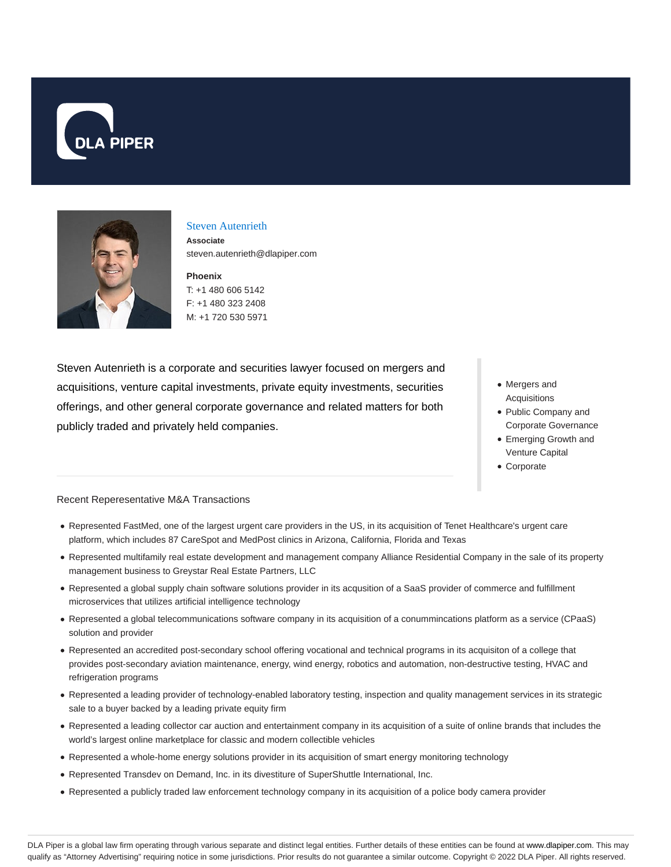



## Steven Autenrieth

**Associate** steven.autenrieth@dlapiper.com

**Phoenix** T: +1 480 606 5142 F: +1 480 323 2408

M: +1 720 530 5971

Steven Autenrieth is a corporate and securities lawyer focused on mergers and acquisitions, venture capital investments, private equity investments, securities offerings, and other general corporate governance and related matters for both publicly traded and privately held companies.

- Mergers and Acquisitions
- Public Company and Corporate Governance
- Emerging Growth and Venture Capital
- Corporate

## Recent Reperesentative M&A Transactions

- Represented FastMed, one of the largest urgent care providers in the US, in its acquisition of Tenet Healthcare's urgent care platform, which includes 87 CareSpot and MedPost clinics in Arizona, California, Florida and Texas
- Represented multifamily real estate development and management company Alliance Residential Company in the sale of its property management business to Greystar Real Estate Partners, LLC
- Represented a global supply chain software solutions provider in its acqusition of a SaaS provider of commerce and fulfillment microservices that utilizes artificial intelligence technology
- Represented a global telecommunications software company in its acquisition of a conummincations platform as a service (CPaaS) solution and provider
- Represented an accredited post-secondary school offering vocational and technical programs in its acquisiton of a college that provides post-secondary aviation maintenance, energy, wind energy, robotics and automation, non-destructive testing, HVAC and refrigeration programs
- Represented a leading provider of technology-enabled laboratory testing, inspection and quality management services in its strategic sale to a buyer backed by a leading private equity firm
- Represented a leading collector car auction and entertainment company in its acquisition of a suite of online brands that includes the world's largest online marketplace for classic and modern collectible vehicles
- Represented a whole-home energy solutions provider in its acquisition of smart energy monitoring technology
- Represented Transdev on Demand, Inc. in its divestiture of SuperShuttle International, Inc.
- Represented a publicly traded law enforcement technology company in its acquisition of a police body camera provider